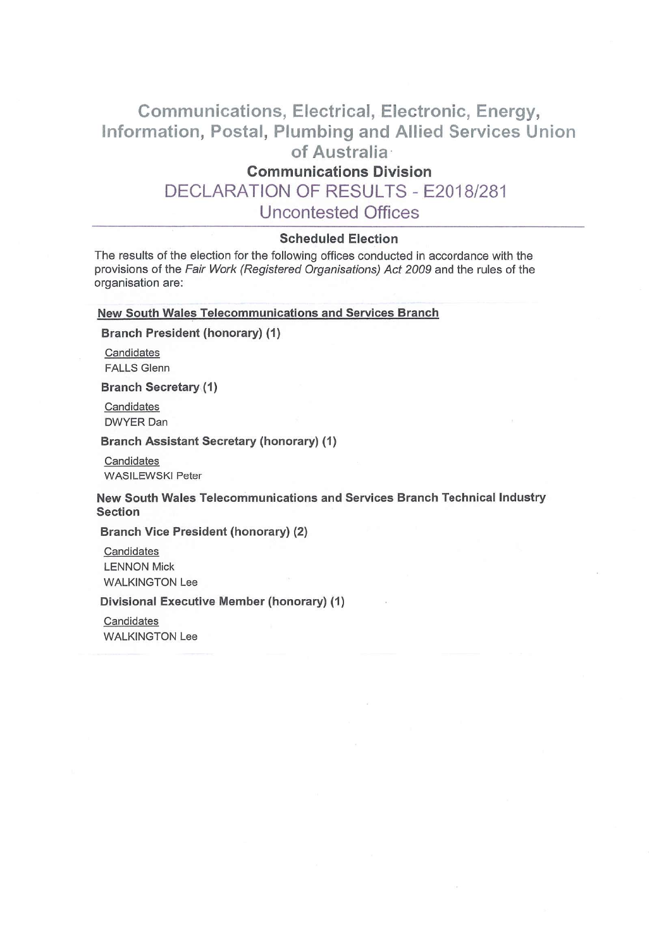# Communications, Electrical, Electronic, Energy, nformation, Postal, Plumbing and Allied Services Union of Australia.

# Communications Division

DECLARATION OF RESULTS - E2018/281

Uncontested Offices

# Scheduled Election

The results of the election for the following offices conducted in accordance with the provisions of the Fair Work (Registered Organisations) Act 2009 and the rules of the organisation are:

#### New South Wales Telecommunications and Services Branch

Branch President (honorary) (1)

Candidates FALLS Glenn

Branch Secretary (1)

Candidates DWYER Dan

Branch Assistant Secretary (honorary) (1)

Candidates WASILEWSKI Peter

New South Wales Telecommunications and Services Branch Technical Industry Section

Branch Vice President (honorary) (2)

**Candidates** LENNON Mick WALKINGTON Lee

Divisional Executive Member (honorary) (1)

**Candidates** WALKINGTON Lee